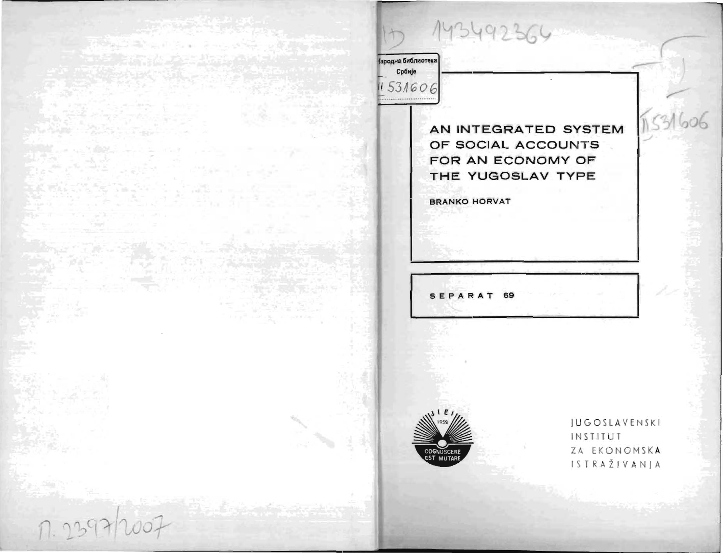143492364

Народна библиотека

Србије 11531606

> AN INTEGRATED SYSTEM OF SOCIAL ACCOUNTS FOR AN ECONOMY OF THE YUGOSLAV TYPE

**BRANKO HORVAT** 

SEPARAT 69



**JUGOSLAVENSKI** INSTITUT ZA EKONOMSKA ISTRAŽIVANJA

 $1531606$ 

1.2397/2007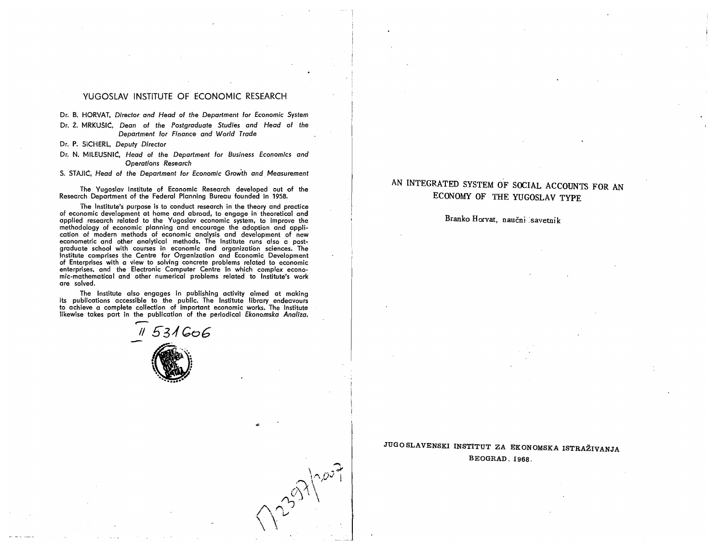### YUGOSLAV INSTITUTE OF ECONOMIC RESEARCH

Dr. B. HORVAT, *Director and Head* of *the Department for Economic System* 

Dr. Z. MRKU5IC, *Dean* of *the Postgraduate Studies and Head* of *the Department for Finance and World Trade* 

- Dr. P. SICHERL, *Deputy Director*
- Dr. N. MILEUSNIC, *Head* of *the Department for Business Economics and Operations Research*
- S. STAJIC, *Head* of *the Department for Economic Grow'th and Measurement*

The Yugoslay Institute of Economic Research developed out of the Research Department of the Federal Planning Bureau founded in 1958.

The Institute's purpose is to conduct research in the theory and practice of economic development at home and abroad, to engage in theoretical and a economic development at nome and abroad, to engage in theoretical and<br>inclied research related to the Yugoslav economic system, to improve the pplied research related to the Tugoslav economic system, to improve the<br>esthodology of economic planning and encourage the adoption and applimethodology of economic planning and encourage the adoption and application of modern methods of economic analytis and development of new econometric and other analytical methods. The Institute runs also a postgraduate school with courses in economic and organization sciences. The Institute comprises the Centre for Organization and Economic Development of Enterprises with a view to solving concrete problems related to economic enterprises, and the Electronic Computer Centre in which complex econo- mic-mathematical and other numerical problems related to Institute's work are solved.

The Institute also engages in publishing activity aimed at making its publications accessible to the public. The Institute library endeavours to achieve a complete collection of important economic works. The Institute discussive a complete conection of important economic works. The institute kewise takes part in the publication of the periodical *Ekonomska Analiza*.



# AN INTEGRATED SYSTEM OF SOCIAL ACCOUNTS FOR AN ECONOMY OF THE YUGOSLAV TYPE

## Branko Horvat, naučni savetnik

JUGOSLAVENSKI INSTITUT ZA EKONOMSKA ISTRAZIVANJA BEOGRAD. 1968.

 $\frac{1}{2}$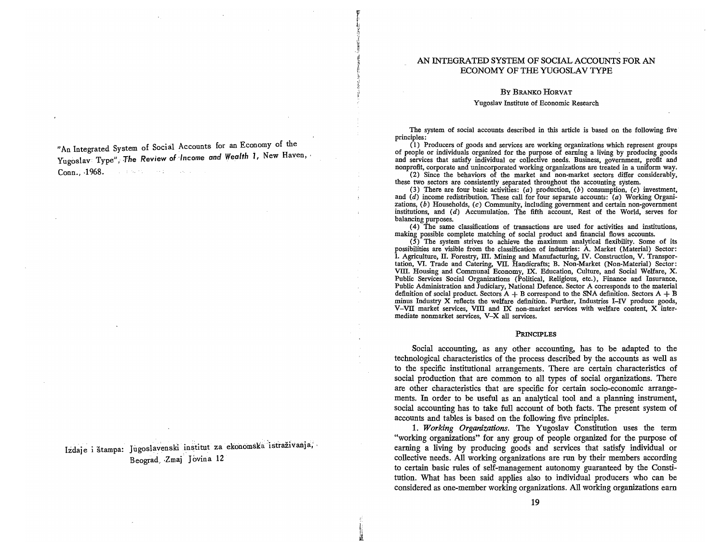### AN lNTEGRATED SYSTEM OF SOCIAL ACCOUNTS FOR AN ECONOMY OF THE YUGOSLAV TYPE

#### By BRANKO HORVAT

#### Yugoslav Institute of Economic Research

"An Integrated System of Socia] Accounts for an Economy of the Yugoslav Type", The Review of *Income and Wealth 1*, New Haven, Conn., ·1968. and the Marie State Council and a

Izdaje i štampa: Jugoslavenski institut za ekonomska istraživanja, Beograd Zmaj Jovina 12

The system of social accounts described in this article is based on the following five' principles :

( 1) Producers of goods and services are working organizations which represent groups of people or individuals organized for the purpose of earning a living by producing goods and services that satisfy individual or collective needs. Business, government, profit and nonprofit, corporate and unincorporated working organizations are treated in a uniform way.

(2) Since the behaviors of the market and non-market sectors differ considerably, these two sectors are consistently separated throughout the accounting system.

(3) There are four basic activities: (a) production, (b) consumption,  $(c)$  investment, and  $(d)$  income redistribution. These call for four separate accounts:  $(a)$  Working Organizations,  $(b)$  Households,  $(c)$  Community, including government and certain non-government institutions, and (d) Accumulation. The fifth account, Rest of the World, serves for balancing purposes.

( 4) The same classifications of transactions are used for activities and institutions, making possible complete matching of social product and financial flows accounts.

 $(5)$  The system strives to achieve the maximum analytical flexibility. Some of its possibilities are visible from the classification of industries: A. Market (Material) Sector: l. Agriculture, II. Forestry, III. Mining and Manufacturing, IV. Construction, V. Transportation, VI. Trade and Catering, VII. Handicrafts; B. Non-Market (Non-Material) Sector: VIII. Housing and Communal Economy, IX. Education, Culture, and Social Welfare, X. Public Services Social Organizations (Political, Religious, etc.), Finance and Insurance, Public Administration and Judiciary, National Defence. Sector A corresponds to the material definition of social product. Sectors  $A + B$  correspond to the SNA definition. Sectors  $A + B$ minus Industry X reflects the welfare definition. Further, Industries I-IV produce goods, V-VII market services, VIII and IX non-market services with welfare content, X intermediate nonmarket services, V-X all services.

#### PRINCIPLES

Social accounting, as any other accounting, has to be adapted to the technological characteristics of the process described by the accounts as well as to the specific institutional arrangements. There are certain characteristics of social production that are common to all types of social organizations. There are other characteristics that are specific for certain socio-economic arrangements. In order to be useful as an analytical tool and a planning instrument, social accounting has to take full account of both facts. The present system of accounts and tables is based on the following five principles.

1. *Working Organizations.* The Yugoslav Constitution uses the term "working organizations" for any group of people organized for the purpose of earning a living by producing goods and services that satisfy individual or collective needs. All working organizations are run by their members according to certain basic rules of self-management autonomy guaranteed by the Constitution. What has been said applies also to individual producers who can be considered as one-member working organizations. All working organizations earn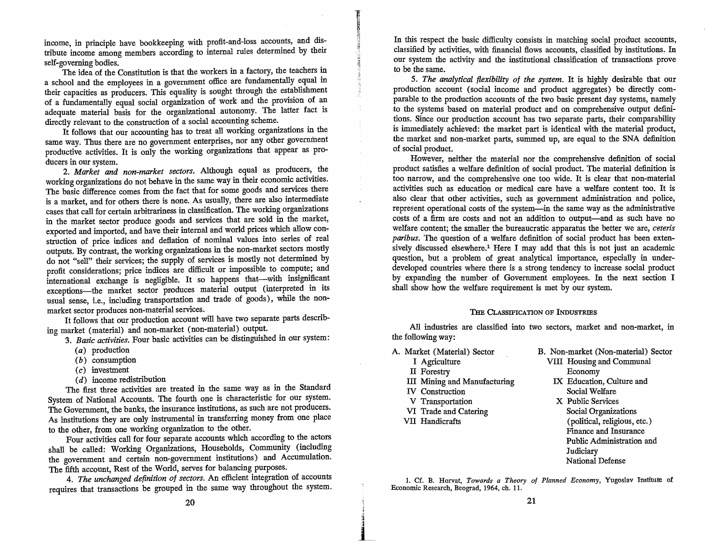income, in principle have bookkeeping with profit-and-Ioss accounts, and distribute income among members according to internal rules determined by their self-governing bodies.

The idea of the Constitution is that the workers in a factory, the teachers in a school and the employees in a government office are fundamentally equal in their capacities as producers. This equality is sought through the establishment of a fundamentally equal social organization of work and the provision of an adequate material basis for the organizational autonomy. The latter fact is directly relevant to the construction of a social accounting scheme.

It follows that our accounting has to treat all working organizations in the same way. Thus there are no government enterprises, nor any other govermhent productive activities. It is only the working organizations that appear as producers in our system.

2. *Market and non-market sectors.* Although equal as producers, the working organizations do not behave in the same way in their economic activities. The basic difference comes from the fact that for some goods and services there is a market, and for others there is none. As usually, there are also intermediate cases that call for certain arbitrariness in classification. The working organizations in the market sector produce goods and services that are sold in the market, exported and imported, and have their internal and world prices which allow construction of price indices and deflation of nominal values into series of real outputs. By contrast, the working organizations in the non-market sectors mostly do not "sell" their services; the supply of services is mostly not determined by profit considerations; price indices are difficult or impossible to compute; and international exchange is negligible. It so happens that-with insignificant exceptions-the market sector produces material output (interpreted in its usual sense, i.e., including transportation and trade of goods), while the nonmarket sector produces non-material services.

It follows that our production account will have two separate parts describing market (material) and non-market (non-material) output.

*3. Basic activities.* Four basic activities can be distinguished in our system:

- (a) production
- (b) consumption
- (c) investment
- $(d)$  income redistribution

The first three activities are treated in the same way as in the Standard System of National Accounts. The fourth one is characteristic for our system. The Government, the banks, the insurance institutions, as such are not producers. As institutions they are only instrumental in transferring money from one place to the other, from one working organization to the other.

Four activities call for four separate accounts which according to the actors shall be called: Working Organizations, Households, Community (including the government and certain non-government institutions) and Accumulation. The fifth account, Rest of the World, serves for balancing purposes.

*4. The unchanged definition of sectors.* An efficient integration of accounts requires that transactions be grouped in the same way throughout the system.

In this respect the basic difficulty consists in matching social product accounts, classified by activities, with financial flows accounts, classified by institutions. In our system the activity and the institutional classification of transactions prove to be the same.

S. *The analytical flexibility of the system.* It is highly desirable that our production account (social income and product aggregates) be directly comparable to the production accounts of the two basic present day systems, namely to the systems based on material product and on comprehensive output definitions. Since our production account has two separate parts, their comparability is immediately achieved: the market part is identical with the material product, the market and non-market parts, summed up, are equal to the SNA definition of social product.

However, neither the material nor the comprehensive definition of social product satisfies a welfare definition of social product. The material definition is too narrow, and the comprehensive one too wide. It is clear that non-material activities such as education or medical care have a welfare content too. It is also clear that other activities, such as government administration and police, represent operational costs of the system-in the same way as the administrative costs of a firm are costs and not an addition to output-and as such have no welfare content; the smaller the bureaucratic apparatus the better we are, *ceteris paribus.* The question of a welfare definition of social product has been extensively discussed elsewhere.<sup>1</sup> Here I may add that this is not just an academic question, but a problem of great analytical importance, especially in underdeveloped countries where there is a strong tendency to increase social product by expanding the number of Government employees. In the next section I shall show how the welfare requirement is met by our system.

#### THE CLASSIFICATION OF INDUSTRIES

All industries are classified into two sectors, market and non-market, in the following way:

A. Market (Material) Sector

- I Agriculture II Forestry
- ill Mining and Manufacturing
- IV Construction

**ENTERPORT** 

- V Transportation
- VI Trade and Catering
- VII Handicrafts

B. Non-market (Non-material) Sector VIII Housing and Communal Economy

- IX Education, Culture and Social Welfare
- X Public Services Social Organizations (political, religious, etc.) Finance and Insurance Public Administration and Judiciary National Defense

1. Cf. B. Horvat, *Towards a Theory of Planned Economy,* Yugoslav Institute of Economic Research, Beograd, 1964, ch. 11.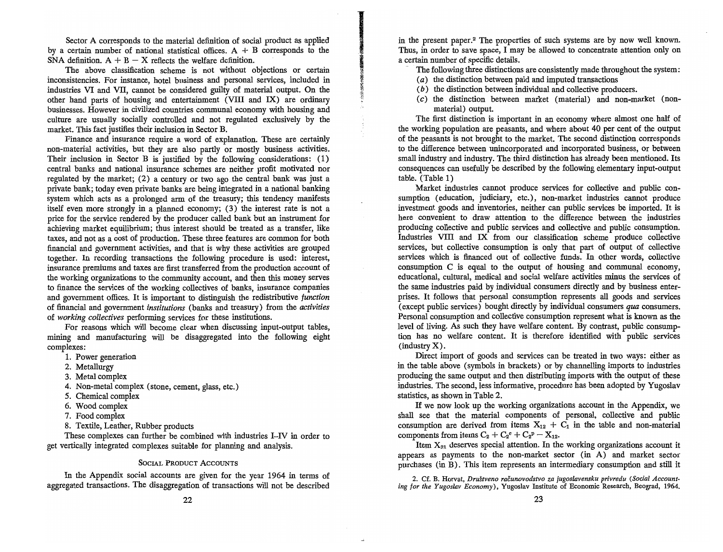Sector A corresponds to the material definition of social product as applied by a certain number of national statistical offices.  $A + B$  corresponds to the SNA definition.  $A + B - X$  reflects the welfare definition.

The above classification scheme is not without objections or certain inconsistencies. For instance, hotel business and personal services, included in industries VI and VII, cannot be considered guilty of material output. On the other hand parts of housing and entertainment (VIII and IX) are ordinary businesses. However in civilized countries communal economy with housing and culture are usually socially controlled and not regulated exclusively by the market. This fact justifies their inclusion in Sector B.

Finance and insurance require a word of explanation. These are certainly non-material activities, but they are also partly or mostly business activities. Their inclusion in Sector B is justified by the following considerations: (1) central banks and national insurance schemes are neither profit motivated nor regulated by the market; (2) a century or two ago the central bank was just a private bank; today even private banks are being integrated in a national banking system which acts as a prolonged arm of the treasury; this tendency manifests itself even more strongly in a planned economy; (3) the interest rate is not a price for the service rendered by the producer called bank but an instrument for achieving market equilibrium; thus interest should be treated as a transfer, like taxes, and not as a cost of production. These three features are common for both financial and government activities, and that is why these activities are grouped together. In recording transactions the following procedure is used: interest, insurance premiums and taxes are first transferred from the production account of the working organizations to the community account, and then this money serves to finance the services of the working collectives of banks, insurance companies and government offices. It is important to distinguish the redistributive *function*  of financial and government *institutions* (banks and treasury) from the *activities*  of *working collectives* performing services for these institutions.

For reasons which will become clear when discussing input-output tables, mining and manufacturing will be dis aggregated into the following eight complexes:

- 1. Power generation
- 2. Metallurgy
- 3. Metal complex
- 4. Non-metal complex (stone, cement, glass, etc.)
- 5. Chemical complex
- 6. Wood complex
- 7. Food complex
- 8. Textile, Leather, Rubber products

These complexes can further be combined with industries I-IV in order to get vertically integrated complexes suitable for planning and analysis.

#### SOCIAL PRODUCT ACCOUNTS

In the Appendix social accounts are given for the year 1964 in terms of aggregated transactions. The disaggregation of transactions will not be described

in the present paper.<sup>2</sup> The properties of such systems are by now well known. Thus, in order to save space, I may be allowed to concentrate attention only on a certain number of specific details.

The following three distinctions are consistently made throughout the system:

- (a) the distinction between paid and imputed transactions
- (b) the distinction between individual and collective producers.
- (c) the distinction between market (material) and non-market (nonmaterial) output.

The first distinction is important in an economy where almost one half of the working population are peasants, and where about 40 per cent of the output of the peasants is not brought to the market. The second distinction corresponds to the difference between unincorporated and incorporated business, or between small industry and industry. The third distinction has already been mentioned. Its consequences can usefully be described by the following elementary input-output table. (Table 1)

Market industries cannot produce services for collective and public consumption (education, judiciary, etc.), non-market industries cannot produce investment goods and inventories, neither can public services be imported. It is here convenient to draw attention to the difference between the industries producing collective and public services and collective and public consumption. Industries VIII and IX from our classification scheme produce collective services, but collective consumption is only that part of output of collective services which is financed out of collective funds. In other words, collective consumption C is equal to the output of housing and communal economy, educational, cultural, medical and social welfare activities minus the services of the same industries paid by individual consumers directly and by business enterprises. It follows that personal consumption represents all goods and services (except public services) bought directly by individual consumers *qua* consumers. Personal consumption and collective consumption represent what is known as the level of living. As such they have welfare content. By contrast, public consumption has no welfare content. It is therefore identified with public services (industry X).

Direct import of goods and services can be treated in two ways: either as in the table above (symbols in brackets) or by channelling imports to industries producing the same output and then distributing imports with the output of these industries. The second, less informative, procedure has been adopted by Yugoslav statistics, as shown in Table 2.

If we now look up the working organizations account in the Appendix, we shall see that the material components of personal, collective and public consumption are derived from items  $X_1 + C_2$  in the table and non-material consumption are derived from items  $X_2 + C_2$  in the table and non-material consumption are derived from items  $X_{12} + C_1$  in the table and non-material components from items  $C_2 + C_2^c + C_2^p - X_{12}$ .

Item  $X_{21}$  deserves special attention. In the working organizations account it appears as payments to the non-market sector (in A) and market sector purchases (in B). This item represents an intermediary consumption and still it

2. Cf. B. Horvat, *Drustveno racunovodstvo za jugoslavensku privredu (Social Accounti*. C. B. Horvat, *Drustveno racunovoastvo za jugoslavensku privredu* (Social Account-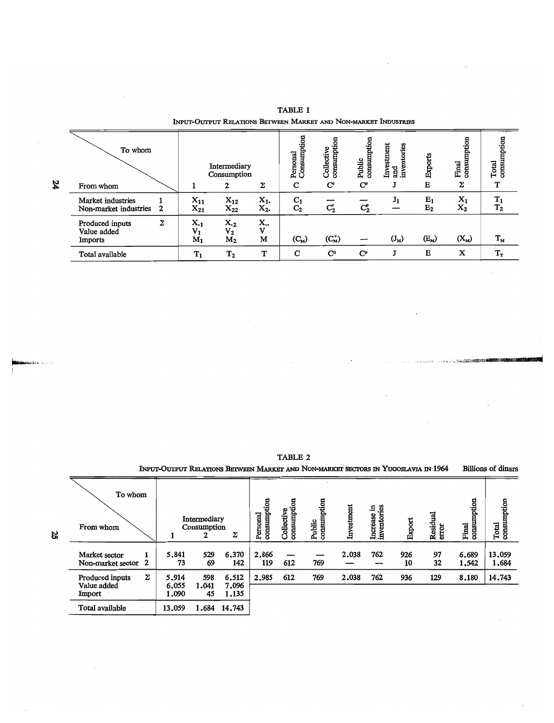|    | To whom                                    |   |                            | Intermediary<br>Consumption                      |                          | tion<br>Consumpt<br>Personal     | 8<br>umptio<br>Collective | consumption<br>Public     | Investment<br>ntories<br>and<br>inver | Exports                              | consumption<br>Final    | mption<br>COTISLI<br>Total |
|----|--------------------------------------------|---|----------------------------|--------------------------------------------------|--------------------------|----------------------------------|---------------------------|---------------------------|---------------------------------------|--------------------------------------|-------------------------|----------------------------|
| 24 | From whom                                  |   |                            |                                                  | Σ                        | C                                | $\mathbf{C}^{\circ}$      | $\mathbf{C}^{\mathbf{p}}$ |                                       | Е                                    | Σ                       | т                          |
|    | Market industries<br>Non-market industries | 2 | $X_{11}$<br>$X_{21}$       | $X_{12}$<br>$X_{22}$                             | $X_{1}$<br>$X_2$ .       | C <sub>1</sub><br>C <sub>2</sub> | $C_2^{\circ}$             | $C_2^p$                   | $J_1$                                 | $E_1$<br>$E_2$                       | $X_1$<br>$\mathbf{x}_2$ | $T_1$<br>$T_2$             |
|    | Produced inputs<br>Value added<br>Imports  | Σ | $X_{-1}$<br>$V_1$<br>$M_1$ | $X_{\cdot2}$<br>V <sub>2</sub><br>M <sub>2</sub> | X.,<br>$\mathbf{v}$<br>М | $(C_{M})$                        | $(C_{M}^{c})$             |                           | $(J_M)$                               | $\left(\mathrm{E}_\mathrm{M}\right)$ | $(X_{M})$               | $\mathbf{T}_{\mathbf{M}}$  |
|    | Total available                            |   | $T_1$                      | T <sub>2</sub>                                   | T                        | $\mathbf C$                      | $\mathbf{C}^{\mathbf{c}}$ | $\mathbf{C}^p$            |                                       | $\bf{E}$                             | X                       | $\mathbf{T_{T}}$           |

TABLE I INPUT-OUTPUT RELATIONS BETWEEN MARKET AND NON-MARKET INDUSTRIES

TABLE 2

INPUT-OUTPUT RELATIONS BETWEEN MARKET AND NON-MARKET SECTORS IN YUGOSLAVIA IN 1964 Billions of dinars To whom arsonal<br>msumption<br>ollective<br>msumption<br>iblic<br>msumption<br>msumption .~.~ .~ § or.<br>Predstate transformation of the second property of the second property of the second property of the second pr<br>Predstate the second property of the second property of the second property of the second property of the s  $\frac{1}{1}$   $\frac{1}{2}$   $\frac{1}{2}$   $\frac{1}{2}$   $\frac{1}{2}$   $\frac{1}{2}$   $\frac{1}{2}$   $\frac{1}{2}$   $\frac{1}{2}$   $\frac{1}{2}$   $\frac{1}{2}$   $\frac{1}{2}$   $\frac{1}{2}$   $\frac{1}{2}$   $\frac{1}{2}$   $\frac{1}{2}$   $\frac{1}{2}$   $\frac{1}{2}$   $\frac{1}{2}$   $\frac{1}{2}$   $\frac{1}{2}$   $\frac{1}{2}$   $\frac{1}{2}$   $\frac{1}{2}$   $\frac{1}{2}$   $\frac{1}{2}$   $\frac{1}{2}$   $\frac{1}{2}$   $\frac{1}{2}$   $\frac{1}{2}$   $\frac{1}{2}$   $\frac{1}{2}$   $\frac{1}{2}$   $\frac{1}{2}$   $\frac{1}{2}$   $\frac{1}{2}$   $\frac{1}{2}$   $\frac{1}{2}$   $\frac{1}{2}$   $\frac{1}{2}$   $\frac{1}{2}$   $\frac{1}{2}$   $\frac{1}{2}$   $\frac{1}{2}$   $\text{Market sector} \quad 1 \quad 5.841 \quad 529 \quad 6.370 \quad 2.866 \quad \text{---} \quad \quad \text{---} \quad \quad 2.038 \quad 762 \quad 926 \quad 97 \quad 6.689 \quad 13.059$ Market sector 2 73 69 142 119 612 769 - 10 32 1.542 1.684 Produced inputs  $\sum$  5.914 598 6.512 2.985 612 769 2.038 762 936 129 8.180 14.743 Value added 6.055 1.041 7.096 Import 1.090 45 1.135 Total available 13.059 1.684 14.743

~

.<br>**\*da l**itin " valore to "

 $\ddot{\phantom{a}}$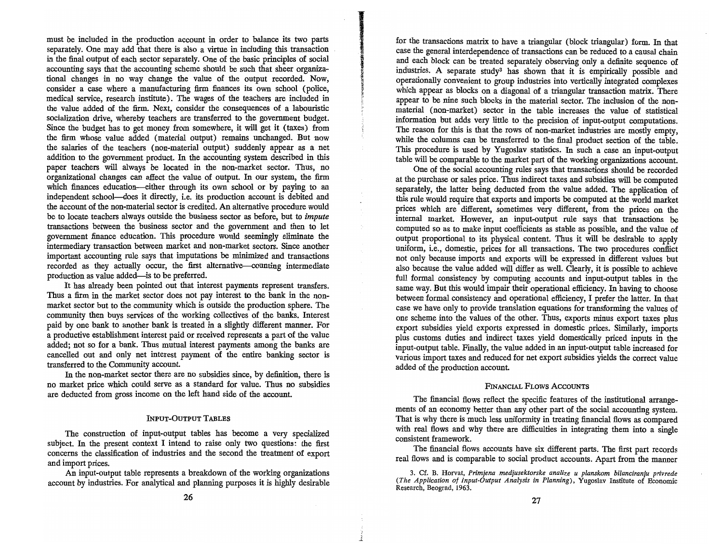must be included in the production account in order to balance its two parts separately. One may add that there is also a virtue in including this transaction in the final output of each sector separately. One of the basic principles of social accounting says that the accounting scheme should be such that sheer organizational changes in no way change the value of the output recorded. Now, consider a case where a manufacturing firm finances its own school (police, medical service, research institute). The wages of the teachers are included in the value added of the firm. Next, consider the consequences of a labouristic socialization drive, whereby teachers are transferred to the government budget. Since the budget has to get money from somewhere, it will get it (taxes) from the firm whose value added (material output) remains unchanged. But now the salaries of the teachers (non-material output) suddenly appear as a net addition to the government product. In the accounting system described in this paper teachers will always be located in the non-market sector. Thus, no organizational changes can affect the value of output. In our system, the firm which finances education-either through its own school or by paying to an independent school-does it directly, i.e. its production account is debited and the account of the non-material sector is credited. An alternative procedure would be to locate teachers always outside the business sector as before, but to *impute*  transactions between the business sector and the government and then to let government finance education. This procedure would seemingly eliminate the intermediary transaction between market and non-market sectors. Since another important accounting rule says that imputations be minimized and transactions recorded as they actually occur, the first alternative--counting intermediate production as value added-is to be preferred.

It has already been pointed out that interest payments represent transfers. Thus a firm in the market sector does not pay interest to the bank in the nonmarket sector but to the community which is outside the production sphere. The community then buys services of the working collectives of the banks. Interest paid by one bank to another bank is treated in a slightly different manner. For a productive establishment interest paid or received represents a part of the value added; not so for a bank. Thus mutual interest payments among the banks are cancelled out and only net interest payment of the entire banking sector is transferred to the Community account.

In the non-market sector there are no subsidies since, by definition, there is no market price which could serve as a standard for value. Thus no subsidies are deducted from gross income on the left hand side of the account.

#### INpUT-OUTPUT TABLES

The construction of input-output tables has become a very specialized subject. In the present context I intend to raise only two questions: the first concerns the classification of industries and the second the treatment of export and import prices.

An input-output table represents a breakdown of the working organizations account by industries. For analytical and planning purposes it is highly desirable

for the transactions matrix to have a triangular (block triangular) form. In that case the general interdependence of transactions can be reduced to a causal chain and each block can be treated separately observing only a definite sequence of industries. A separate study<sup>3</sup> has shown that it is empirically possible and operationally convenient to group industries into vertically integrated complexes which appear as blocks on a diagonal of a triangular transaction matrix. There appear to be nine such blocks in the material sector. The inclusion of the nonmaterial (non-market) sector in the table increases the value of statistical information but adds very little to the precision of input-output computations. The reason for this is that the rows of non-market industries are mostly empty, while the columns can be transferred to the final product section of the table. This procedure is used by Yugoslav statistics. In such a case an input-output table will be comparable to the market part of the working organizations account.

One of the social accounting rules says that transactions should be recorded at the purchase or sales price. Thus indirect taxes and subsidies will be computed separately, the latter being deducted from the value added. The application of this rule would require that exports and imports be computed at the world market prices which are different, sometimes very different, from the prices on the internal market. However, an input-output rule says that transactions be computed so as to make input coefficients as stable as possible, and the value of output proportional to its physical content. Thus it will be desirable to apply uniform, i.e., domestic, prices for all transactions. The two procedures conflict not only because imports and exports will be expressed in different values but also because the value added will differ as well. Clearly, it is possible to achieve full formal consistency by computing accounts and input-output tables in the same way. But this would impair their operational efficiency. In having to choose between formal consistency and operational efficiency, I prefer the latter. In that case we have only to provide translation equations for transforming the values of one scheme into the values of the other. Thus, exports minus export taxes plus export subsidies yield exports expressed in domestic prices. Similarly, imports plus customs duties and indirect taxes yield domestically priced inputs in the input-output table. Finally, the value added in an input-output table increased for various import taxes and reduced for net export subsidies yields the correct value added of the production account.

#### FINANCIAL FLOWS ACCOUNTS

The financial flows reflect the specific features of the institutional arrangements of an economy better than any other part of the social accounting system. That is why there is much less uniformity in treating financial flows as compared with real flows and why there are difficulties in integrating them into a single consistent framework.

The financial flows accounts have six different parts. The first part records real flows and is comparable to social product accounts. Apart from the manner

3. Cf. B. Horvat, *Primjena .medjusektorske analize u planskom bilanciranju privrede*  f *(The Application of Input-Output Analysis in Dianize u planskom bilanciranju privrede*<br>The Application of Input-Output Analysis in Planning of Economic Output (The Application of Input-Output Analysis in Planning), Yugoslav Institute of Economic Research, Beograd, 1963.

 $\frac{1}{2}$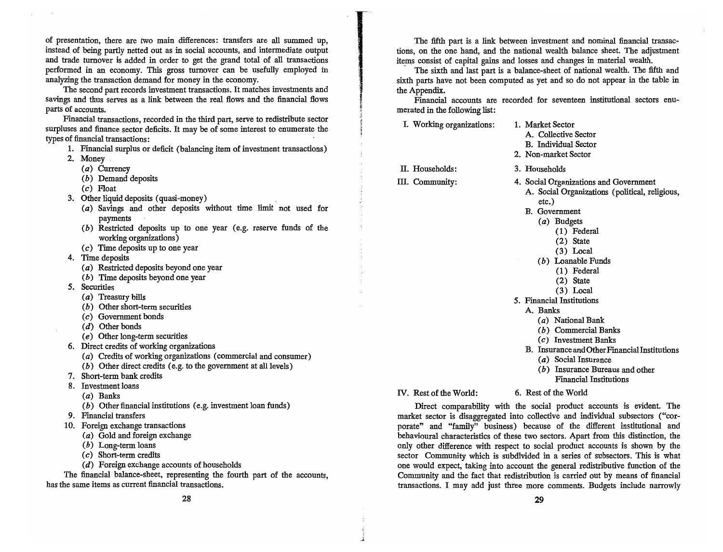of presentation, there are two main differences: transfers are all summed up, instead of being partly netted out as in social accounts, and intermediate output and trade turnover is added in order to get the grand total of all transactions performed in an economy. This gross turnover can be usefully employed in analyzing the transaction demand for money in the economy.

The second part records investment transactions. It matches investments and savings and thus serves as a link between the real flows and the financial flows parts of accounts.

Financial transactions, recorded in the third part, serve to redistribute sector surpluses and finance sector deficits. It may be of some interest to enumerate the types of financial transactions:

- 1. Financial surplus or deficit (balancing item of investment transactions)
- 2. Money
	- (a) Currency
	- (b) Demand deposits
	- (c) Float
- 3. Other liquid deposits (quasi-money)
	- (a) Savings and other deposits without time limit not used for payments
	- (b) Restricted deposits up to one year (e.g. reserve funds of the working organizations)
	- $(c)$  Time deposits up to one year
- 4. Time deposits
	- (a) Restricted deposits beyond one year
	- (b) Time deposits beyond one year
- 5. Securities
	- (a) Treasury bills
	- *( b* ) Other short-term securities
	- (c) Government bonds
	- (d) Other bonds
	- (e) Other long-term securities
- 6. Direct credits of working organizations
	- (a) Credits of working organizations (commercial and consumer)
	- (b) Other direct credits (e. g. to the government at all levels )
- 7. Short-term bank credits
- 8. Investment loans
	- (a) Banks
	- (b) Other financial institutions (e.g. investment loan funds)
- 9. Financial transfers
- 10. Foreign exchange transactions
	- (a) Gold and foreign exchange
	- (b) Long-term loans
	- (c) Short-term credits
	- (d) Foreign exchange accounts of households

The financial balance-sheet, representing the fourth part of the accounts, has the same items as current financial transactions.

The fifth part is a link between investment and nominal financial transactions, on the one hand, and the national wealth balance sheet. The adjustment items consist of capital gains and losses and changes in material wealth.

The sixth and last part is a balance-sheet of national wealth. The fifth and sixth parts have not been computed as yet and so do not appear in the table in the Appendix.

Financial accounts are recorded for seventeen institutional sectors enumerated in the following list:

I. Working organizations: II. Households: III. Community: 1. Market Sector A. Collective Sector B. Individual Sector 2. Non-market Sector 3. Households 4. Social Organizations and Government A. Social Organizations (political, religious, etc.) B. Government (a) Budgets (1) Federal (2) State (3) Local (b) Loanable Funds (1) Federal (2) State (3) Local 5. Financial Institutions A. Banks (a) National Bank (b) Commercial Banks (c) Investment Banks B. Insurance and Other Financial Institutions (a) Social Insurance (b) Insurance Bureaus and other Financial Institutions

IV. Rest of the World:

6. Rest of the World

Direct comparability with the social product accounts is evident. The market sector is disaggregated into collective and individual subsectors ("corporate" and "family" business) because of the different institutional and behavioural characteristics of these two sectors. Apart from this distinction, the only other difference with respect to social product accounts is shown by the sector Community which is subdivided in a series of subsectors. This is what one would expect, taking into account the general redistributive function of the Community and the fact that redistribution is carried out by means of financial transactions. I may add just three more comments. Budgets include narrowly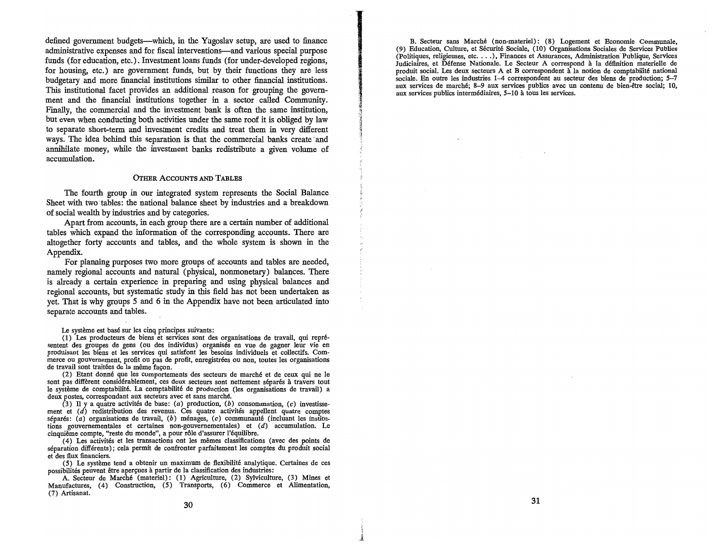defined government budgets--which, in the Yugoslav setup, are used to finance administrative expenses and for fiscal interventions-and various special purpose funds (for education, etc.). Investment loans funds (for under-developed regions, for housing, etc.) are government funds, but by their functions they are less budgetary and more financial institutions similar to other financial institutions. This institutional facet provides an additional reason for grouping the government and the financial institutions together in a sector called Community. Finally, the commercial and the investment bank is often the same institution, but even when conducting both activities under the same roof it is obliged by law to separate short-term and investment credits and treat them in very different ways. The idea behind this separation is that the commercial banks create and annihilate money, while the investment banks redistribute a given volume of accumulation.

#### OTHER ACCOUNTS AND TABLES

The fourth group in our integrated system represents the Social Balance Sheet with two tables: the national balance sheet by industries and a breakdown of social wealth by industries and by categories.

Apart from accounts, in each group there are a certain number of additional tables which expand the information of the corresponding accounts. There are altogether forty accounts and tables, and the whole system is shown in the Appendix.

For planning purposes two more groups of accounts and tables are needed, namely regional accounts and natural (physical, nonmonetary) balances. There is already a certain experience in preparing and using physical balances and regional accounts, but systematic study in this field has not been undertaken as yet. That is why groups 5 and 6 in the Appendix have not been articulated into separate accounts and tables.

Le système est basé sur les cinq principes suivants:

( 1) Les producteurs de biens et services sont des organisations de travail, qui representent des groupes de gens (ou des individus) organises en vue de gagner leur vie en produisant les biens et les services qui satisfont les besoins individuels et collectifs. Commerce ou gouvernement, profit ou pas de profit, enregistrees ou non, toutes les organisations de travail sont traitées de la même façon.

(2) Etant donne que les comportements des secteurs de marche et de ceux qui ne Ie sont pas different considerablement, ces deux secteurs sont nettement separes a travers tout le système de comptabilité. La comptabilité de production (les organisations de travail) a deux postes, correspondant aux secteurs avec et sans marche.

(3) Il y a quatre activités de base: (a) production, (b) consommation, (c) investissement et  $(d)$  redistribution des revenus. Ces quatre activités appellent quatre comptes séparés:  $(a)$  organisations de travail,  $(b)$  ménages,  $(c)$  communauté (incluant les institutions gouvernementales et certaines non-gouvernementales) et  $(d)$  accumulation. Le cinquième compte, "reste du monde", a pour rôle d'assurer l'équilibre.

( 4) Les activites et les transactions ont les memes classifications (avec des points de separation differents); cela permit de confronter parfaitement les comptes du produit social et des flux financiers.

(5) Le systeme tend a obtenir un maximum de flexibilite analytique. Certaines de ces possibilités peuvent être aperçues à partir de la classification des industries:

A. Secteur de Marche (materiel): (1) Agriculture, (2) Sylviculture, (3) Mines et Manufactures, (4) Construction, (5) Transports, (6) Commerce et Alimentation, (7) Artisanat.

B. Secteur sans Marche (non-materiel): (8) Logement et Economie Communale, (9) Education, Culture, et Securite Sociale, (10) Organisations Sociales de Services Publics (Politiques, religieuses, etc .... ), Finances et Assurances, Administration· Publique, Services Judiciaires, et Defense Nationale. Le Secteur A correspond a la definition materielle de produit social. Les deux secteurs A et B correspondent a la notion de comptabilite national sociale. En outre les industries 1-4 correspondent au secteur des biens de production; 5-7 aux services de marche; 8-9 aux services publics avec un contenu de bien-etre social; 10, aux services publics intermediaires, 5-10 a tous les services.

*i*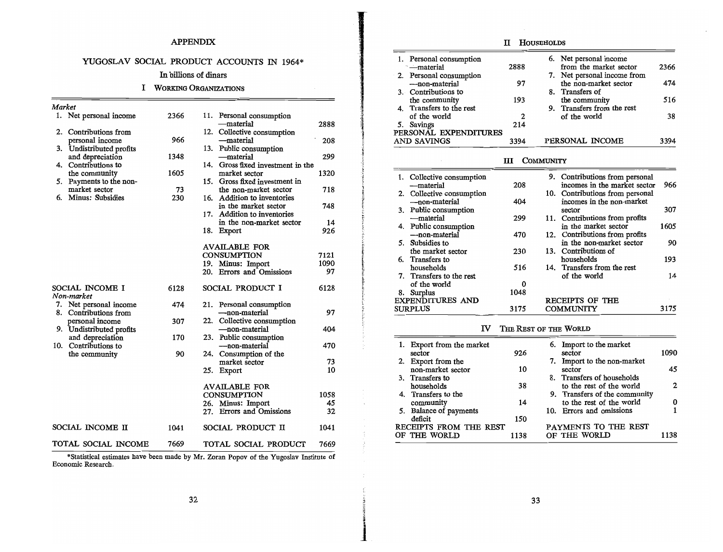## YUGOSLAV SOCIAL PRODUCT ACCOUNTS IN 1964\*

## In billions of dinars

## I WORKING ORGANIZATIONS

| Market                   |      |                                           |      | Transfers to the rest<br>9.<br>Transfers from the rest<br>4. |                |
|--------------------------|------|-------------------------------------------|------|--------------------------------------------------------------|----------------|
| 1. Net personal income   | 2366 | 11. Personal consumption                  |      | $\mathbf{2}$<br>of the world<br>of the world                 | 38             |
|                          |      | —material                                 | 2888 | 214<br>5. Savings                                            |                |
| 2. Contributions from    |      | 12. Collective consumption                |      | PERSONAL EXPENDITURES                                        |                |
| personal income          | 966  | —material                                 | 208  | 3394<br>AND SAVINGS<br>3394<br>PERSONAL INCOME               |                |
| 3. Undistributed profits |      | 13. Public consumption                    |      |                                                              |                |
| and depreciation         | 1348 | —material                                 | 299  | COMMUNITY<br>Ш                                               |                |
| 4. Contributions to      |      | 14. Gross fixed investment in the         |      |                                                              |                |
| the community            | 1605 | market sector                             | 1320 | 9. Contributions from personal<br>1. Collective consumption  |                |
| 5. Payments to the non-  |      | Gross fixed investment in<br>15.          |      | 966<br>incomes in the market sector<br>208<br>—material      |                |
| market sector            | 73   | the non-market sector                     | 718  | 10. Contributions from personal                              |                |
| Minus: Subsidies         | 230  | 16. Addition to inventories               |      | Collective consumption<br>404<br>incomes in the non-market   |                |
|                          |      | in the market sector                      | 748  | —non-material<br>307                                         |                |
|                          |      | 17. Addition to inventories               |      | 3. Public consumption<br>sector                              |                |
|                          |      | in the non-market sector                  | 14   | 11. Contributions from profits<br>299<br>—material           |                |
|                          |      | 18. Export                                | 926  | 1605<br>4. Public consumption<br>in the market sector        |                |
|                          |      |                                           |      | 470<br>12. Contributions from profits<br>--non-material      |                |
|                          |      | <b>AVAILABLE FOR</b>                      |      | in the non-market sector<br>5. Subsidies to                  | 90             |
|                          |      | <b>CONSUMPTION</b>                        | 7121 | 13. Contributions of<br>230<br>the market sector             |                |
|                          |      | 19. Minus: Import                         | 1090 | 193<br>households<br>6. Transfers to                         |                |
|                          |      | <b>Errors</b> and Omissions<br>20.        | 97   | 14. Transfers from the rest<br>households<br>516             |                |
|                          |      |                                           |      | Transfers to the rest<br>of the world                        | 14             |
| SOCIAL INCOME I          | 6128 | SOCIAL PRODUCT I                          | 6128 | 0<br>of the world                                            |                |
| Non-market               |      |                                           |      | 1048<br>8. Surplus                                           |                |
| Net personal income      | 474  |                                           |      | RECEIPTS OF THE<br><b>EXPENDITURES AND</b>                   |                |
| Contributions from       |      | 21. Personal consumption<br>-non-material | 97   | 3175<br>3175<br><b>COMMUNITY</b><br><b>SURPLUS</b>           |                |
|                          |      | 22.                                       |      |                                                              |                |
| personal income          | 307  | Collective consumption                    | 404  | $\mathbf{v}$<br>THE REST OF THE WORLD                        |                |
| 9. Undistributed profits |      | —non-material                             |      |                                                              |                |
| and depreciation         | 170  | 23. Public consumption                    |      | 6. Import to the market<br>1. Export from the market         |                |
| 10. Contributions to     |      | —non-material                             | 470  | 1090<br>926<br>sector<br>sector                              |                |
| the community            | 90   | 24. Consumption of the                    |      | 7. Import to the non-market                                  |                |
|                          |      | market sector                             | 73   | Export from the<br>10<br>non-market sector<br>sector         | 45             |
|                          |      | 25. Export                                | 10   | 8. Transfers of households                                   |                |
|                          |      |                                           |      | Transfers to<br>3.<br>to the rest of the world               | $\overline{c}$ |
|                          |      | <b>AVAILABLE FOR</b>                      |      | 38<br>households                                             |                |
|                          |      | <b>CONSUMPTION</b>                        | 1058 | 9. Transfers of the community<br>4. Transfers to the         |                |
|                          |      | 26. Minus: Import                         | 45   | to the rest of the world<br>14<br>community                  | 0              |
|                          |      | <b>Errors and Omissions</b><br>27.        | 32   | 10. Errors and omissions<br>5. Balance of payments           |                |
|                          |      |                                           |      | 150<br>deficit                                               |                |
| SOCIAL INCOME II         | 1041 | SOCIAL PRODUCT II                         | 1041 | PAYMENTS TO THE REST<br>RECEIPTS FROM THE REST               |                |
|                          |      |                                           |      | 1138<br>1138<br>OF THE WORLD<br>OF THE WORLD                 |                |
| TOTAL SOCIAL INCOME      | 7669 | TOTAL SOCIAL PRODUCT                      | 7669 |                                                              |                |

\*Statistical estimates have been made by Mr. Zoran Popov of the Yugoslav Institute of Economic Research.

## APPENDIX **IT HOUSEHOLDS**

|                        |      | YUGOSLAV SOCIAL PRODUCT ACCOUNTS IN 1964* |      | —material                | Personal consumption<br>2888 | 6. Net personal income<br>from the market sector | 2366 |
|------------------------|------|-------------------------------------------|------|--------------------------|------------------------------|--------------------------------------------------|------|
|                        |      | In billions of dinars                     |      | 2. Personal consumption  |                              | 7. Net personal income from                      |      |
|                        |      |                                           |      | ---non-material          | 97                           | the non-market sector                            | 474  |
|                        |      | WORKING ORGANIZATIONS                     |      | 3. Contributions to      |                              | 8. Transfers of                                  |      |
|                        |      |                                           |      | the community            | 193                          | the community                                    | 516  |
| Market                 |      |                                           |      | 4. Transfers to the rest |                              | 9. Transfers from the rest                       |      |
| 1. Net personal income | 2366 | 11. Personal consumption                  |      | of the world             |                              | of the world                                     | 38   |
|                        |      | —material                                 | 2888 | 5. Savings               | 214                          |                                                  |      |
| 2. Contributions from  |      | Collective consumption                    |      |                          | PERSONAL EXPENDITURES        |                                                  |      |
| personal income        | 966  | —material                                 | 208  | AND SAVINGS              | 3394                         | PERSONAL INCOME                                  | 3394 |

| 14. Gross fixed investment in the                                                      |    |                                                                     |           |                                                                        |      |
|----------------------------------------------------------------------------------------|----|---------------------------------------------------------------------|-----------|------------------------------------------------------------------------|------|
| market sector<br>1320<br>15. Gross fixed investment in<br>718<br>the non-market sector |    | 1. Collective consumption<br>—material                              | 208       | 9. Contributions from personal<br>incomes in the market sector         | 966  |
| 16. Addition to inventories<br>748<br>in the market sector                             |    | 2. Collective consumption<br>—non-material<br>3. Public consumption | 404       | 10. Contributions from personal<br>incomes in the non-market<br>sector | 307  |
| 17. Addition to inventories<br>in the non-market sector<br>14                          |    | —material                                                           | 299       | 11. Contributions from profits                                         |      |
| 926<br>18. Export                                                                      |    | 4. Public consumption<br>--non-material                             | 470       | in the market sector<br>12. Contributions from profits                 | 1605 |
| <b>AVAILABLE FOR</b>                                                                   | 5. | Subsidies to<br>the market sector                                   | 230       | in the non-market sector<br>13. Contributions of                       | 90   |
| <b>CONSUMPTION</b><br>7121<br>19. Minus: Import<br>1090                                |    | 6. Transfers to                                                     |           | households                                                             | 193  |
| 20. Errors and Omissions<br>97                                                         |    | households<br>7. Transfers to the rest                              | 516       | 14. Transfers from the rest<br>of the world                            | 14   |
| 6128<br>SOCIAL PRODUCT I                                                               |    | of the world                                                        | 0<br>1048 |                                                                        |      |
| 21. Personal consumption                                                               |    | 8. Surplus<br><b>EXPENDITURES AND</b>                               |           | RECEIPTS OF THE                                                        |      |
| $Q_{\mathcal{T}}$<br>non-material                                                      |    | <b>SURPLUS</b>                                                      | 3175      | <b>COMMUNITY</b>                                                       | 3175 |

## IV THE REST OF THE WORLD

|                                      |      | 23.                                   |      |                           |      |                                  |      |
|--------------------------------------|------|---------------------------------------|------|---------------------------|------|----------------------------------|------|
| and depreciation<br>Contributions to | 170. | Public consumption<br>---non-material | 470  | 1. Export from the market |      | 6. Import to the market          |      |
| the community                        | 90   | Consumption of the<br>24.             |      | sector                    | 926  | sector                           | 1090 |
|                                      |      | market sector                         | 73   | 2. Export from the        |      | 7. Import to the non-market      |      |
|                                      |      | 25. Export                            | 10   | non-market sector         | 10   | sector                           | 45   |
|                                      |      |                                       |      | 3. Transfers to           |      | Transfers of households          |      |
|                                      |      | <b>AVAILABLE FOR</b>                  |      | households                | 38   | to the rest of the world         | 2    |
|                                      |      | <b>CONSUMPTION</b>                    | 1058 | 4. Transfers to the       |      | Transfers of the community<br>9. |      |
|                                      |      | 26. Minus: Import                     | 45   | community                 | 14   | to the rest of the world         | 0    |
|                                      |      | 27. Errors and Omissions              | 32   | 5. Balance of payments    |      | 10. Errors and omissions         |      |
|                                      |      |                                       |      | deficit                   | 150  |                                  |      |
| IAL INCOME II                        | 1041 | SOCIAL PRODUCT II                     | 1041 | RECEIPTS FROM THE REST    |      | PAYMENTS TO THE REST             |      |
|                                      |      |                                       |      | OF THE WORLD              | 1138 | OF THE WORLD                     | 1138 |
|                                      |      |                                       |      |                           |      |                                  |      |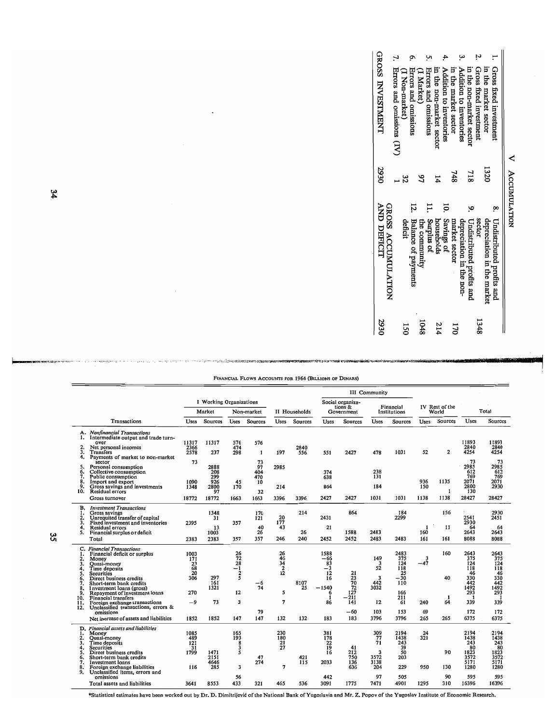| 2930     | <b>AND DEFICIT</b>           | 2930           | <b>GROSS INVESTMENT</b>     |
|----------|------------------------------|----------------|-----------------------------|
|          | GROSS ACCUMULATION           |                | Errors and omissions (IV)   |
| 51       | deficit                      | స              | (1 Non-market)              |
|          | <b>Balance of payments</b>   |                | <b>Errors</b> and omissions |
| 1048     | the community                | S              | (I Market)                  |
|          | Surplus of                   |                | Errors and omissions        |
| 214      | households                   | 14             | in the non-market sector    |
|          | Savings of                   | Ξ.             | Addition to inventories     |
| 72<br>20 | market sector                | 748            | in the market sector        |
|          | depreciation in the non-     |                | Addition to inventories     |
|          | 9. Undistributed profits and | $^{215}$       | in the non-market sector    |
| 8751     | sector                       |                | Gross fixed investment      |
|          | depreciation in the market   | 1320           | in the market sector        |
|          | 8. Undistributed profits and |                | 1. Gross fixed investment   |
|          |                              | V Accumulation |                             |

|  | FINANCIAL FLOWS ACCOUNTS FOR 1964 (BILLIONS OF DINARS) |  |  |
|--|--------------------------------------------------------|--|--|
|  |                                                        |  |  |

**CONTRACTOR** 

.<br>... tarihi

|                                                                         |                                                                                                                                                                                                                                                                                                                                                                                                  |                                                                    |                                                  |                                                            |                                            |                                                   |                   |                                                                          |                                                                   | III Community                                           |                                                                                    |                                |                             |                                                                                          |                                                                                    |
|-------------------------------------------------------------------------|--------------------------------------------------------------------------------------------------------------------------------------------------------------------------------------------------------------------------------------------------------------------------------------------------------------------------------------------------------------------------------------------------|--------------------------------------------------------------------|--------------------------------------------------|------------------------------------------------------------|--------------------------------------------|---------------------------------------------------|-------------------|--------------------------------------------------------------------------|-------------------------------------------------------------------|---------------------------------------------------------|------------------------------------------------------------------------------------|--------------------------------|-----------------------------|------------------------------------------------------------------------------------------|------------------------------------------------------------------------------------|
|                                                                         |                                                                                                                                                                                                                                                                                                                                                                                                  |                                                                    | <b>I</b> Working Organizations<br>Market         |                                                            | Non-market                                 |                                                   | II Households     |                                                                          | Social organiza-<br>tions &<br>Government                         |                                                         | Financial<br>Institutions                                                          |                                | IV Rest of the<br>World     |                                                                                          | Total                                                                              |
|                                                                         | Transactions                                                                                                                                                                                                                                                                                                                                                                                     | <b>Uses</b>                                                        | Sources                                          | <b>Uses</b>                                                | Sources                                    | <b>Uses</b>                                       | Sources           | <b>Uses</b>                                                              | <b>Sources</b>                                                    | Uses                                                    | Sources                                                                            | Uses                           | <b>Sources</b>              | Uses                                                                                     | Sources                                                                            |
| 2.<br>3.<br>4.                                                          | A. Nonfinancial Transactions<br>1. Intermediate output and trade turn-<br>over<br>Net personal incomes<br>Transfers<br>Payments of market to non-market                                                                                                                                                                                                                                          | 11317<br>2366<br>2578                                              | 11317<br>237                                     | 576<br>474<br>298                                          | 576<br>$\mathbf{1}$                        | 197                                               | 2840<br>556       | 551                                                                      | 2427                                                              | 478                                                     | 1031                                                                               | 52                             | $\overline{a}$              | 11893<br>2840<br>4254                                                                    | 11893<br>2840<br>4254                                                              |
| 5.<br>6.<br>7.<br>8.<br>9.<br>10.                                       | sector<br>Personal consumption<br>Collective consumption<br>Public consumption<br>Import and export<br>Gross savings and investments<br>Residual errors<br>Gross turnover                                                                                                                                                                                                                        | 73<br>1090<br>1348<br>18772                                        | 2888<br>208<br>299<br>926<br>2800<br>97<br>18772 | 45<br>170<br>1663                                          | 73<br>97<br>404<br>470<br>10<br>32<br>1663 | 2985<br>214<br>3396                               | 3396              | 374<br>638<br>864<br>2427                                                | 2427                                                              | 238<br>131<br>184<br>1031                               | 1031                                                                               | 936<br>150<br>1138             | 1135<br>1<br>1138           | 73<br>2985<br>612<br>769<br>2071<br>2800<br>130<br>28427                                 | 73<br>2985<br>612<br>769<br>2071<br>2930<br>28427                                  |
| В.<br>1.<br>2.<br>3.<br>4.<br>5.                                        | <b>Investment Transactions</b><br>Gross savings<br>Unrequited transfer of capital<br>Fixed investment and inventories<br>Residual errors<br>Financial surplus or deficit<br>Total                                                                                                                                                                                                                | 2395<br>2383                                                       | 1348<br>31<br>13<br>1003<br>2383                 | 357<br>357                                                 | 170<br>121<br>40<br>26<br>357              | $\frac{20}{177}$<br>43<br>246                     | 214<br>26<br>240  | 2431<br>21<br>2452                                                       | 864<br>1588<br>2452                                               | 2483<br>2483                                            | 184<br>2299<br>2483                                                                | $\mathbf{1}$<br>160<br>161     | 156<br>11<br>161            | k.<br>2541<br>2930<br>64<br>2643<br>8088                                                 | 2930<br>2451<br>64<br>2643<br>8088                                                 |
| 1.<br>2.<br>3.<br>4.<br>5.<br>6.<br>7.<br>8.<br>9.<br>10.<br>11.<br>12. | C. Financial Transactions<br>Financial deficit or surplus<br>Money<br>Quasi-money<br>Time deposits<br><b>Securities</b><br>Direct business credits<br>Short-term bank credits<br>Investment loans (gross)<br>Repayment of investment loans<br>Financial transfers<br>Foreign exchange transactions<br>Unclassified transactions, errors &<br>omissions<br>Net inerease of assets and liabilities | 1003<br>171<br>$\frac{23}{68}$<br>20<br>306<br>270<br>$-9$<br>1852 | 297<br>161<br>1321<br>73<br>1852                 | $\frac{26}{72}$<br>$-1$<br>$\frac{2}{5}$<br>12<br>3<br>147 | -6<br>74<br>79<br>147                      | 26<br>46<br>34<br>$\frac{2}{12}$<br>5<br>7<br>132 | 8107<br>25<br>132 | 1588<br>-66<br>83<br>$-3$<br>12<br>16<br>$-1540$<br>6<br>-1<br>86<br>183 | 21<br>$\frac{23}{70}$<br>72<br>127<br>$-211$<br>141<br>-60<br>183 | 149<br>3<br>52<br>3<br>442<br>3032<br>12<br>103<br>3796 | 2483<br>375<br>124<br>118<br>25<br>$-30$<br>110<br>166<br>211<br>61<br>153<br>3796 | 3<br>$-47$<br>240<br>69<br>265 | 160<br>40<br>1<br>64<br>265 | 2643<br>375<br>124<br>118<br>46<br>330<br>442<br>1492<br>293<br>-1<br>339<br>172<br>6375 | 2643<br>375<br>124<br>118<br>46<br>330<br>442<br>1492<br>293<br>339<br>172<br>6375 |
| 1.<br>2.<br>3.<br>4.<br>5.<br>6.<br>7.<br>8.<br>9.                      | D. Financial assets and liabilities<br>Money<br>Quasi-money<br>Time deposits<br>Securities<br>Direct business credits<br>Short-term bank credits<br>Investment loans<br>Foreign exchange liabilities<br>Unclassified items, errors and<br>omissions                                                                                                                                              | 1085<br>489<br>121<br>31<br>1799<br>116                            | 1471<br>2151<br>4646<br>285                      | 165<br>193<br>$\frac{8}{3}$<br>5<br>3<br>56                | 47<br>274                                  | 230<br>180<br>21<br>27                            | 421<br>115        | 381<br>178<br>$\frac{22}{19}$<br>16<br>2033<br>442                       | 41<br>212<br>750<br>136<br>636                                    | 309<br>77<br>71<br>3<br>3572<br>3138<br>204<br>97       | 2194<br>1438<br>243<br>39<br>50<br>203<br>229<br>505                               | $\frac{24}{321}$<br>950        | 90<br>130<br>90             | 2194<br>1438<br>243<br>80<br>1823<br>3572<br>5171<br>1280<br>595                         | 2194<br>1438<br>243<br>80<br>1823<br>3572<br>5171<br>1280<br>595                   |
|                                                                         | Total assets and liabilities                                                                                                                                                                                                                                                                                                                                                                     | 3641                                                               | 8553                                             | 433                                                        | 321                                        | 465                                               | 536               | 3091                                                                     | 1775                                                              | 7471                                                    | 4901                                                                               | 1295                           | 310                         | 16396                                                                                    | 16396                                                                              |

\*Statistical estimates have been worked out by Dr. D. Dimitrijević of the National Bank of Yugoslavia and Mr. Z. Popov of the Yugoslav Institute of Economic Research.

 $\frac{34}{3}$ 

ပ္တ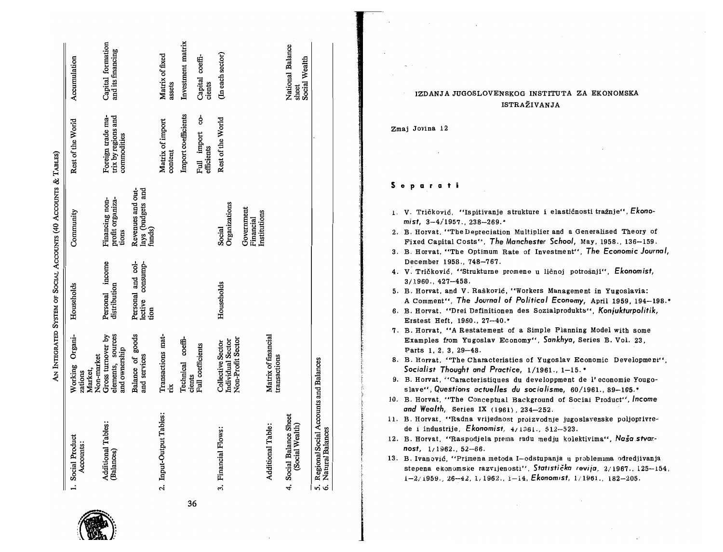|    | 1. Social Product<br>Accounts:                                 | Working Organi-<br>Non-market<br>Market,<br>zations                | Households                                       | Community                                        | Rest of the World                                       | Accumulation                               |
|----|----------------------------------------------------------------|--------------------------------------------------------------------|--------------------------------------------------|--------------------------------------------------|---------------------------------------------------------|--------------------------------------------|
|    | Additional Tables:<br>(Balances)                               | elements, sources<br>Gross turnover by<br>and ownership            | Personal income<br>distribution                  | profit organiza-<br>Financing non-<br>tions      | Foreign trade ma-<br>trix by regions and<br>commodities | Capital formation<br>and its financing     |
|    |                                                                | Balance of goods<br>and services                                   | Personal and col-<br>consump-<br>lective<br>tion | Revenues and out-<br>lays (budgets and<br>funds) |                                                         |                                            |
|    | 2. Input-Output Tables:                                        | Transactions mat-<br>rix                                           |                                                  |                                                  | Matrix of import<br>content                             | Matrix of fixed<br>assets                  |
| 36 |                                                                | Technical coeffi-<br>cients                                        |                                                  |                                                  | Import coefficients                                     | Investment matrix                          |
|    |                                                                | Full coefficients                                                  |                                                  |                                                  | ċ.<br>Full import<br>efficients                         | Capital coeffi-<br>cients                  |
|    | 3. Financial Flows:                                            | Non-Profit Sector<br>Individual Sector<br><b>Collective Sector</b> | Households                                       | Organizations<br>Social                          | Rest of the World                                       | (In each sector)                           |
|    |                                                                |                                                                    |                                                  | Government<br>Institutions<br>Financial          |                                                         |                                            |
|    | Additional Table:                                              | Matrix of financial<br>transactions                                |                                                  |                                                  |                                                         |                                            |
|    | 4. Social Balance Sheet<br>(Social Wealth)                     |                                                                    |                                                  |                                                  |                                                         | National Balance<br>Social Wealth<br>sheet |
|    | 5. Regional Social Accounts and Balances<br>6 Natural Balances |                                                                    |                                                  |                                                  |                                                         |                                            |

## IZDANJA JUGOSLOVENSKOG INSTITUTA ZA EKONOMSKA ISTRAŽIVANJA

Zmai Jovina 12

Separati

- 1. V. Tričković, "Ispitivanje strukture i elastičnosti tražnje". Ekonomist.  $3-4/1957.$ . 238-269.\*
- 2. B. Horvat, "The Depreciation Multiplier and a Generalised Theory of Fixed Capital Costs", The Manchester School, May, 1958., 136-159.
- 3. B. Horvat, "The Optimum Rate of Investment". The Economic Journal, December 1958., 748-767.
- 4. V. Tričković, "Strukturne promene u ličnoj potrošnji", Ekonomist,  $3/1960.$ ,  $427-458$ .
- 5. B. Horvat, and V. Rašković, "Workers Management in Yugoslavia: A Comment", The Journal of Political Economy, April 1959, 194-198.\*
- 6. B. Horvat. "Drei Definitionen des Sozialprodukts", Konjukturpolitik, Erstest Heft, 1960., 27-40.\*
- 7. B. Horvat, "A Restatement of a Simple Planning Model with some Examples from Yugoslav Economy", Sankhya, Series B. Vol. 23, Parts 1, 2, 3, 29-48.
- 8. B. Horvat. "The Characteristics of Yugoslav Economic Development". Socialist Thought and Practice, 1/1961., 1-15.\*
- 9. B. Horvat, "Caracteristiques du developpment de l'economie Yougoslave", Questions actuelles du socialisme, 60/1961., 89-105.\*
- 10. B. Horvat, "The Conceptual Background of Social Product", Income and Wealth, Series IX  $(1961)$ ,  $234-252$ .
- 11. B. Horvat, "Radna vrijednost proizvodnje jugoslavenske poljoprivrede i industrije, Ekonomist,  $4/1361$ .,  $512-523$ .
- 12. B. Horvat, "Raspodjela prema radu medju kolektivima", Ngšo stvornost,  $1/1962.$ ,  $52-66.$
- 13. B. Ivanović, "Primena metoda I-odstupanja u problemima odredjivanja stepena ekonomske razvijenosti", Statistička revija, 2/1967., 125-154,  $1-2/1959.$ , 26-42, 1, 1962., 1-14, Ekonomist, 1/1961., 182-205.

AN INTEGRATED SYSTEM OF SOCIAL ACCOUNTS (40 ACCOUNTS & TABLES)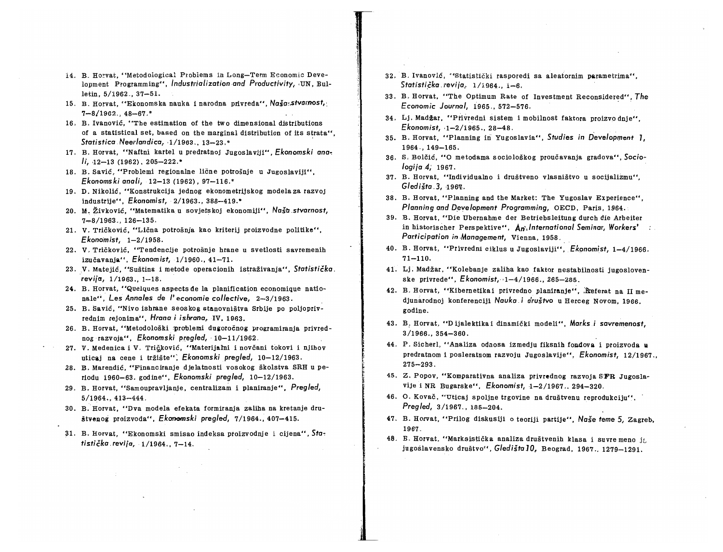- 14, B. Ho~vat, "Metodological Ptobiems in Long-Term Economic Development Programming", *Industrialization and Productivity*, UN. Bulletin, 5/1962.,37-51.
- 15. B. Horvat, "Ekonomska nauka i narodna privreda", Naša:stvarnost,  $7 - 8/1962$   $48 - 67.$ \*
- 16. B. Ivanovic, "The estimation of the two dimensional distributions of a statistical set, based on the marginal distribution of its strata", *Statistica.* Neerlandica~ ,1/1963., 13-23.'" .
- 17. B. Horvat, "Naftni kartel u predratnoj Jugoslaviji", *Ekonomski ana,*   $1i, 12-13$  (1962), 205-222.\*
- 18. B. Savic, "Problemi regionalne licne potrosnje u Jugoslaviji", *Ekonomski ana* Ii, 12-13 (1962), 97-116.'"
- 19, D. Nikolic, "Konstrukcija jednog ekonometrijskog modela za razvoj industrije", *Ekonomist,* ·2/1963.,388-419.\*
- 20. M, Zivkovic, "Matematika u sovjetskoj ekonomiji", *Nastl.stvamost,*   $7 - 8/1963.$ , 126-135.
- 21. V. Trickovic, "Licna potrosnja kao kriterij proizvodne politike", *Ekonomist, 1-2/1958.*
- 22. V, Trickovic, "Tendencije potrosnje hrane u svetlosti savremenih izucavanja", *Ekonomist,* 1/1960., 41-71.
- 23. V. Matejić, "Suština i metode operacionih istraživanja". Statistička. *revija,* 1/1963., 1-18.
- 24. B. Horvat, "Quelques aspects de la planification economique nationale", Les *Annales* de *I' economie collective,* 2-3/1963.
- 25. B. Savic, "Nivo ishrane seoskog stanovnistva Srbije po poljoprivrednim rejonima", *Hrana i ishrana,* IV, 1963.
- 26. B. Horvat. "Metodološki problemi dugoročnog programiranja privrednograzvoja", *Ekonomski preg/ed,* . 10-11/1962.
- 27. V. Medenica i V. Tričković, "Materijalni i novčani tokovi i njihov uticaj na cene i tržište"; *Ekonomski pregled*, 10-12/1963.
- 28. B. Marendic, "Financiranje djelatnosti vosokog skolstva SRH u periodu 1960-63. godine", *Ekonomski preg/ed, 10-12/1963.*
- 29. B. Horvat, "Samoupravljanje, centralizam i planiranje", *Preg/ed,*  5/1964.,413-444.
- 30. B.·Horvat, "Dva modela efekata formiranja zaliha na kretanje drustvenog proizvoda", *Ekonomski pregled,* 7/1964., 407-415.
- 31. B. Horvat, "Ekonomski smisao indeksa proizvodnje i cijena", *Sta, tisticka.revija,* 1/1964., 7-14.
- 32. B. Ivanović, "Statistički rasporedi sa aleatornim parametrima", Statistička revija, 1/1964., 1-6.
- 33. B. Horvat, "The Optimum Rate of Investment Reconsidered", *The Economic Journal,* 1965.,572-576. .
- 34. Lj. Madzar, "Ptivredni sistem i mobilnost faktora proizvo dnje", *Ekonomist,* ,1-2/1965., 28-48.
- 35. B. Horvat, "Planning in Yugoslavia", Studies in Development 1. 1964.,149-165.
- 36. S, Bolcic, "0 metodama socioloskog proucavanja gradova", *Sociologija* 4; 1967.
- 37. B. Horvat, "Individualno i drustveno vlasnistvo u socijalizmu", *G/ecJista.3, -196'l.*
- 38. B. Horvat, "Planning and the Market: The Yugoslav Experience", *Planning and Development Programming, OECD, Paris, 1964.*
- 39. B. Horvat, "Die Ubernahme der Betriebsleitung durch die Arbeiter in historischer Perspektive", *An', International Seminar, Workers' Participation in .Management,* Vienna, 1958.
- 40. B. Horvat, "Privredni cikius u Jugosiaviji", *Ekonomist, 1-4/1966.*   $71 - 110.$
- 41. Lj. Madzar, "Kolebanje zaliha kao faktor nestabilnosti jugosiovenske privrede", *Ekonomist*, 1-4/1966., 265-285.
- 42. B. Horvat, "Kibernetikai privredno planiranje". Referat na II medjunarodnoj konferenciji Nauka i društvo u Herceg Novom, 1966. godine.
- 43. B: Horvat, "D ijalektika i dinamicki modeli", *Marks.i savremenost,*  3/1966.,354-360.
- 44. P. Sicherl, "Analiza odnosa izmedju fiksnih fondova i proizvoda u predratnom i posleratnom razvoju Jugoslavije", *Ekonomist,* 12/1967., 275-293.
- 45. Z. Popov, "Komparativna analiza privrednog razvoja SFR Jugoslavije i NR Bugarske", *Ekonomist,* 1-2/1967 .. 294-320.
- 46. O. Kovač, "Uticaj spoljne trgovine na društvenu reprodukciju". *Preg/ecJ,* 3/1967., 185-204.
- 47. B. Horvat, "Prilog diskusiji o teoriji partije", Naše teme 5, Zagreb, 1967.
- 48. B. Horvat, "Marksistička analiza društvenih klasa i suvre meno ja jugoslavensko drustvo", *GledistaJO,* Beograd, 1967.,1279-1291.